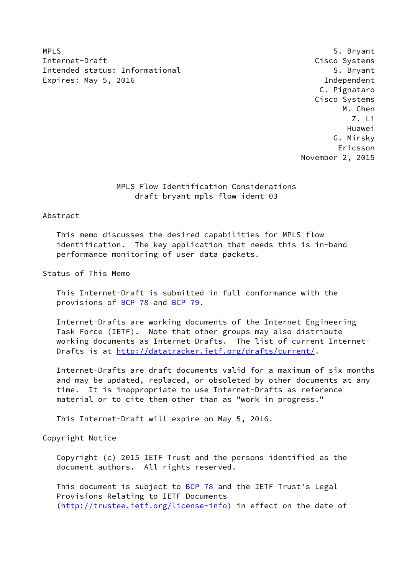MPLS S. Bryant Internet-Draft Cisco Systems Intended status: Informational S. Bryant Expires: May 5, 2016 **Independent** 

 C. Pignataro Cisco Systems M. Chen Z. Li Huawei G. Mirsky Ericsson November 2, 2015

# MPLS Flow Identification Considerations draft-bryant-mpls-flow-ident-03

## Abstract

 This memo discusses the desired capabilities for MPLS flow identification. The key application that needs this is in-band performance monitoring of user data packets.

Status of This Memo

 This Internet-Draft is submitted in full conformance with the provisions of [BCP 78](https://datatracker.ietf.org/doc/pdf/bcp78) and [BCP 79](https://datatracker.ietf.org/doc/pdf/bcp79).

 Internet-Drafts are working documents of the Internet Engineering Task Force (IETF). Note that other groups may also distribute working documents as Internet-Drafts. The list of current Internet- Drafts is at<http://datatracker.ietf.org/drafts/current/>.

 Internet-Drafts are draft documents valid for a maximum of six months and may be updated, replaced, or obsoleted by other documents at any time. It is inappropriate to use Internet-Drafts as reference material or to cite them other than as "work in progress."

This Internet-Draft will expire on May 5, 2016.

Copyright Notice

 Copyright (c) 2015 IETF Trust and the persons identified as the document authors. All rights reserved.

This document is subject to **[BCP 78](https://datatracker.ietf.org/doc/pdf/bcp78)** and the IETF Trust's Legal Provisions Relating to IETF Documents [\(http://trustee.ietf.org/license-info](http://trustee.ietf.org/license-info)) in effect on the date of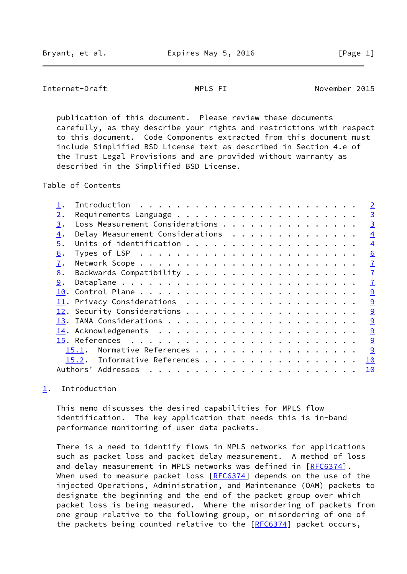<span id="page-1-1"></span>Internet-Draft MPLS FI November 2015

 publication of this document. Please review these documents carefully, as they describe your rights and restrictions with respect to this document. Code Components extracted from this document must include Simplified BSD License text as described in Section 4.e of the Trust Legal Provisions and are provided without warranty as described in the Simplified BSD License.

Table of Contents

|                  |                                  |  |  |  |  |  |  |  |  | $\overline{2}$ |
|------------------|----------------------------------|--|--|--|--|--|--|--|--|----------------|
| 2.               |                                  |  |  |  |  |  |  |  |  | $\overline{3}$ |
| 3.               | Loss Measurement Considerations  |  |  |  |  |  |  |  |  | $\overline{3}$ |
| $\overline{4}$ . | Delay Measurement Considerations |  |  |  |  |  |  |  |  | $\overline{4}$ |
| 5.               |                                  |  |  |  |  |  |  |  |  | $\overline{4}$ |
| 6.               |                                  |  |  |  |  |  |  |  |  | 6              |
| 7.               |                                  |  |  |  |  |  |  |  |  | $\overline{1}$ |
| 8.               |                                  |  |  |  |  |  |  |  |  | $\overline{1}$ |
| 9.               |                                  |  |  |  |  |  |  |  |  | $\overline{1}$ |
|                  |                                  |  |  |  |  |  |  |  |  | $\overline{9}$ |
|                  |                                  |  |  |  |  |  |  |  |  | 9              |
|                  |                                  |  |  |  |  |  |  |  |  | 9              |
|                  |                                  |  |  |  |  |  |  |  |  | 9              |
|                  |                                  |  |  |  |  |  |  |  |  | 9              |
|                  |                                  |  |  |  |  |  |  |  |  | 9              |
|                  | Normative References<br>15.1.    |  |  |  |  |  |  |  |  | 9              |
|                  | 15.2. Informative References     |  |  |  |  |  |  |  |  | 10             |
|                  |                                  |  |  |  |  |  |  |  |  | 10             |

# <span id="page-1-0"></span>[1](#page-1-0). Introduction

 This memo discusses the desired capabilities for MPLS flow identification. The key application that needs this is in-band performance monitoring of user data packets.

 There is a need to identify flows in MPLS networks for applications such as packet loss and packet delay measurement. A method of loss and delay measurement in MPLS networks was defined in [[RFC6374](https://datatracker.ietf.org/doc/pdf/rfc6374)]. When used to measure packet loss  $[REC6374]$  depends on the use of the injected Operations, Administration, and Maintenance (OAM) packets to designate the beginning and the end of the packet group over which packet loss is being measured. Where the misordering of packets from one group relative to the following group, or misordering of one of the packets being counted relative to the [[RFC6374](https://datatracker.ietf.org/doc/pdf/rfc6374)] packet occurs,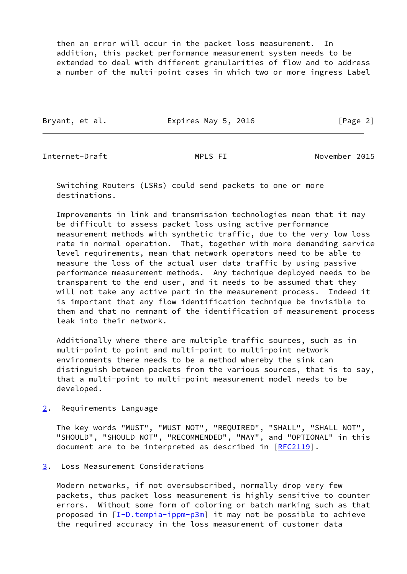then an error will occur in the packet loss measurement. In addition, this packet performance measurement system needs to be extended to deal with different granularities of flow and to address a number of the multi-point cases in which two or more ingress Label

| Bryant, et al. | Expires May 5, 2016 | [Page 2] |
|----------------|---------------------|----------|
|                |                     |          |

<span id="page-2-1"></span>Internet-Draft MPLS FI November 2015

 Switching Routers (LSRs) could send packets to one or more destinations.

 Improvements in link and transmission technologies mean that it may be difficult to assess packet loss using active performance measurement methods with synthetic traffic, due to the very low loss rate in normal operation. That, together with more demanding service level requirements, mean that network operators need to be able to measure the loss of the actual user data traffic by using passive performance measurement methods. Any technique deployed needs to be transparent to the end user, and it needs to be assumed that they will not take any active part in the measurement process. Indeed it is important that any flow identification technique be invisible to them and that no remnant of the identification of measurement process leak into their network.

 Additionally where there are multiple traffic sources, such as in multi-point to point and multi-point to multi-point network environments there needs to be a method whereby the sink can distinguish between packets from the various sources, that is to say, that a multi-point to multi-point measurement model needs to be developed.

<span id="page-2-0"></span>[2](#page-2-0). Requirements Language

 The key words "MUST", "MUST NOT", "REQUIRED", "SHALL", "SHALL NOT", "SHOULD", "SHOULD NOT", "RECOMMENDED", "MAY", and "OPTIONAL" in this document are to be interpreted as described in [\[RFC2119](https://datatracker.ietf.org/doc/pdf/rfc2119)].

<span id="page-2-2"></span>[3](#page-2-2). Loss Measurement Considerations

 Modern networks, if not oversubscribed, normally drop very few packets, thus packet loss measurement is highly sensitive to counter errors. Without some form of coloring or batch marking such as that proposed in  $[I-D.tempia-ippm-p3m]$  $[I-D.tempia-ippm-p3m]$  it may not be possible to achieve the required accuracy in the loss measurement of customer data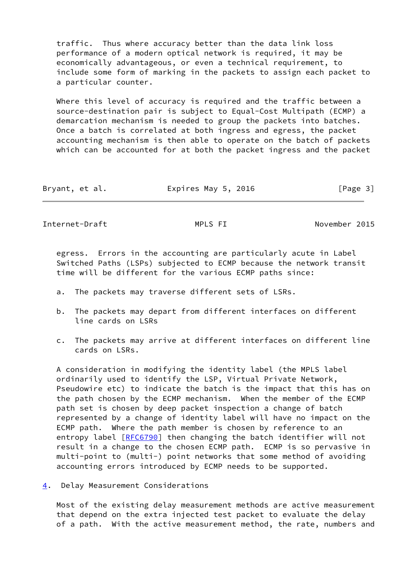traffic. Thus where accuracy better than the data link loss performance of a modern optical network is required, it may be economically advantageous, or even a technical requirement, to include some form of marking in the packets to assign each packet to a particular counter.

 Where this level of accuracy is required and the traffic between a source-destination pair is subject to Equal-Cost Multipath (ECMP) a demarcation mechanism is needed to group the packets into batches. Once a batch is correlated at both ingress and egress, the packet accounting mechanism is then able to operate on the batch of packets which can be accounted for at both the packet ingress and the packet

| Bryant, et al. | Expires May 5, 2016 | [Page 3] |
|----------------|---------------------|----------|
|----------------|---------------------|----------|

<span id="page-3-1"></span>Internet-Draft MPLS FI November 2015

 egress. Errors in the accounting are particularly acute in Label Switched Paths (LSPs) subjected to ECMP because the network transit time will be different for the various ECMP paths since:

- a. The packets may traverse different sets of LSRs.
- b. The packets may depart from different interfaces on different line cards on LSRs
- c. The packets may arrive at different interfaces on different line cards on LSRs.

 A consideration in modifying the identity label (the MPLS label ordinarily used to identify the LSP, Virtual Private Network, Pseudowire etc) to indicate the batch is the impact that this has on the path chosen by the ECMP mechanism. When the member of the ECMP path set is chosen by deep packet inspection a change of batch represented by a change of identity label will have no impact on the ECMP path. Where the path member is chosen by reference to an entropy label [[RFC6790](https://datatracker.ietf.org/doc/pdf/rfc6790)] then changing the batch identifier will not result in a change to the chosen ECMP path. ECMP is so pervasive in multi-point to (multi-) point networks that some method of avoiding accounting errors introduced by ECMP needs to be supported.

<span id="page-3-0"></span>[4](#page-3-0). Delay Measurement Considerations

 Most of the existing delay measurement methods are active measurement that depend on the extra injected test packet to evaluate the delay of a path. With the active measurement method, the rate, numbers and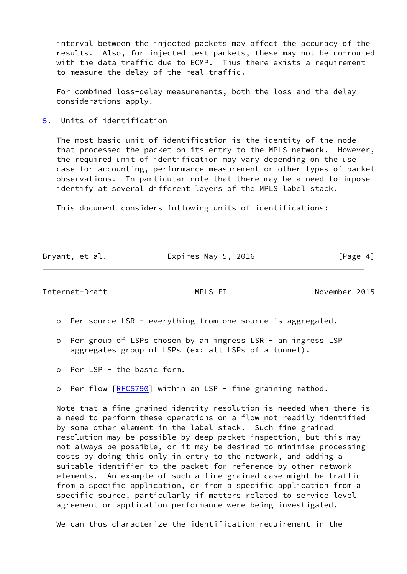interval between the injected packets may affect the accuracy of the results. Also, for injected test packets, these may not be co-routed with the data traffic due to ECMP. Thus there exists a requirement to measure the delay of the real traffic.

 For combined loss-delay measurements, both the loss and the delay considerations apply.

<span id="page-4-0"></span>[5](#page-4-0). Units of identification

 The most basic unit of identification is the identity of the node that processed the packet on its entry to the MPLS network. However, the required unit of identification may vary depending on the use case for accounting, performance measurement or other types of packet observations. In particular note that there may be a need to impose identify at several different layers of the MPLS label stack.

This document considers following units of identifications:

| Bryant, et al. | Expires May 5, 2016 | [Page 4] |
|----------------|---------------------|----------|
|                |                     |          |

Internet-Draft MPLS FI November 2015

- o Per source LSR everything from one source is aggregated.
- o Per group of LSPs chosen by an ingress LSR an ingress LSP aggregates group of LSPs (ex: all LSPs of a tunnel).
- o Per LSP the basic form.
- o Per flow [\[RFC6790](https://datatracker.ietf.org/doc/pdf/rfc6790)] within an LSP fine graining method.

 Note that a fine grained identity resolution is needed when there is a need to perform these operations on a flow not readily identified by some other element in the label stack. Such fine grained resolution may be possible by deep packet inspection, but this may not always be possible, or it may be desired to minimise processing costs by doing this only in entry to the network, and adding a suitable identifier to the packet for reference by other network elements. An example of such a fine grained case might be traffic from a specific application, or from a specific application from a specific source, particularly if matters related to service level agreement or application performance were being investigated.

We can thus characterize the identification requirement in the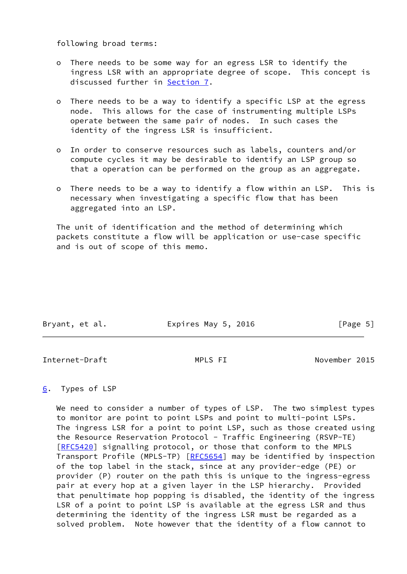following broad terms:

- o There needs to be some way for an egress LSR to identify the ingress LSR with an appropriate degree of scope. This concept is discussed further in [Section 7](#page-6-0).
- o There needs to be a way to identify a specific LSP at the egress node. This allows for the case of instrumenting multiple LSPs operate between the same pair of nodes. In such cases the identity of the ingress LSR is insufficient.
- o In order to conserve resources such as labels, counters and/or compute cycles it may be desirable to identify an LSP group so that a operation can be performed on the group as an aggregate.
- o There needs to be a way to identify a flow within an LSP. This is necessary when investigating a specific flow that has been aggregated into an LSP.

 The unit of identification and the method of determining which packets constitute a flow will be application or use-case specific and is out of scope of this memo.

| Bryant, et al. | Expires May 5, 2016 | [Page 5] |
|----------------|---------------------|----------|
|                |                     |          |

<span id="page-5-1"></span>Internet-Draft MPLS FI November 2015

## <span id="page-5-0"></span>[6](#page-5-0). Types of LSP

We need to consider a number of types of LSP. The two simplest types to monitor are point to point LSPs and point to multi-point LSPs. The ingress LSR for a point to point LSP, such as those created using the Resource Reservation Protocol - Traffic Engineering (RSVP-TE) [\[RFC5420](https://datatracker.ietf.org/doc/pdf/rfc5420)] signalling protocol, or those that conform to the MPLS Transport Profile (MPLS-TP) [\[RFC5654](https://datatracker.ietf.org/doc/pdf/rfc5654)] may be identified by inspection of the top label in the stack, since at any provider-edge (PE) or provider (P) router on the path this is unique to the ingress-egress pair at every hop at a given layer in the LSP hierarchy. Provided that penultimate hop popping is disabled, the identity of the ingress LSR of a point to point LSP is available at the egress LSR and thus determining the identity of the ingress LSR must be regarded as a solved problem. Note however that the identity of a flow cannot to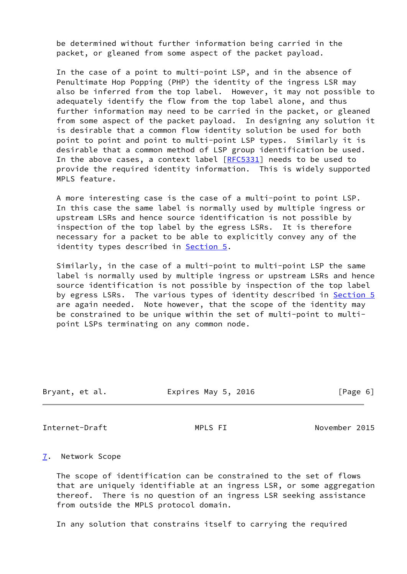be determined without further information being carried in the packet, or gleaned from some aspect of the packet payload.

 In the case of a point to multi-point LSP, and in the absence of Penultimate Hop Popping (PHP) the identity of the ingress LSR may also be inferred from the top label. However, it may not possible to adequately identify the flow from the top label alone, and thus further information may need to be carried in the packet, or gleaned from some aspect of the packet payload. In designing any solution it is desirable that a common flow identity solution be used for both point to point and point to multi-point LSP types. Similarly it is desirable that a common method of LSP group identification be used. In the above cases, a context label [\[RFC5331](https://datatracker.ietf.org/doc/pdf/rfc5331)] needs to be used to provide the required identity information. This is widely supported MPLS feature.

 A more interesting case is the case of a multi-point to point LSP. In this case the same label is normally used by multiple ingress or upstream LSRs and hence source identification is not possible by inspection of the top label by the egress LSRs. It is therefore necessary for a packet to be able to explicitly convey any of the identity types described in [Section 5.](#page-4-0)

 Similarly, in the case of a multi-point to multi-point LSP the same label is normally used by multiple ingress or upstream LSRs and hence source identification is not possible by inspection of the top label by egress LSRs. The various types of identity described in [Section 5](#page-4-0) are again needed. Note however, that the scope of the identity may be constrained to be unique within the set of multi-point to multi point LSPs terminating on any common node.

| Bryant, et al. | Expires May 5, 2016 | [Page 6] |
|----------------|---------------------|----------|
|                |                     |          |

<span id="page-6-1"></span>Internet-Draft MPLS FI November 2015

### <span id="page-6-0"></span>[7](#page-6-0). Network Scope

 The scope of identification can be constrained to the set of flows that are uniquely identifiable at an ingress LSR, or some aggregation thereof. There is no question of an ingress LSR seeking assistance from outside the MPLS protocol domain.

In any solution that constrains itself to carrying the required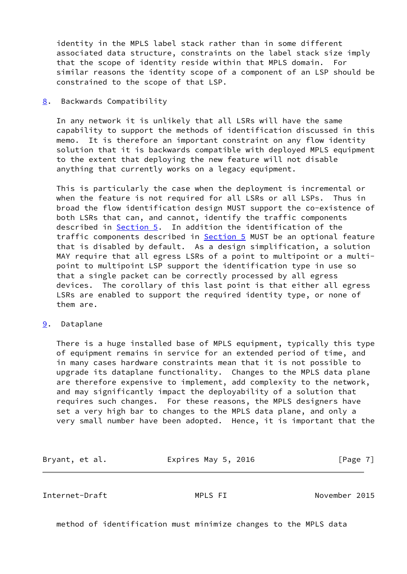identity in the MPLS label stack rather than in some different associated data structure, constraints on the label stack size imply that the scope of identity reside within that MPLS domain. For similar reasons the identity scope of a component of an LSP should be constrained to the scope of that LSP.

### <span id="page-7-0"></span>[8](#page-7-0). Backwards Compatibility

 In any network it is unlikely that all LSRs will have the same capability to support the methods of identification discussed in this memo. It is therefore an important constraint on any flow identity solution that it is backwards compatible with deployed MPLS equipment to the extent that deploying the new feature will not disable anything that currently works on a legacy equipment.

 This is particularly the case when the deployment is incremental or when the feature is not required for all LSRs or all LSPs. Thus in broad the flow identification design MUST support the co-existence of both LSRs that can, and cannot, identify the traffic components described in [Section 5](#page-4-0). In addition the identification of the traffic components described in **Section 5** MUST be an optional feature that is disabled by default. As a design simplification, a solution MAY require that all egress LSRs of a point to multipoint or a multi point to multipoint LSP support the identification type in use so that a single packet can be correctly processed by all egress devices. The corollary of this last point is that either all egress LSRs are enabled to support the required identity type, or none of them are.

## <span id="page-7-1"></span>[9](#page-7-1). Dataplane

 There is a huge installed base of MPLS equipment, typically this type of equipment remains in service for an extended period of time, and in many cases hardware constraints mean that it is not possible to upgrade its dataplane functionality. Changes to the MPLS data plane are therefore expensive to implement, add complexity to the network, and may significantly impact the deployability of a solution that requires such changes. For these reasons, the MPLS designers have set a very high bar to changes to the MPLS data plane, and only a very small number have been adopted. Hence, it is important that the

Bryant, et al. **Expires May 5, 2016** [Page 7]

Internet-Draft MPLS FI November 2015

method of identification must minimize changes to the MPLS data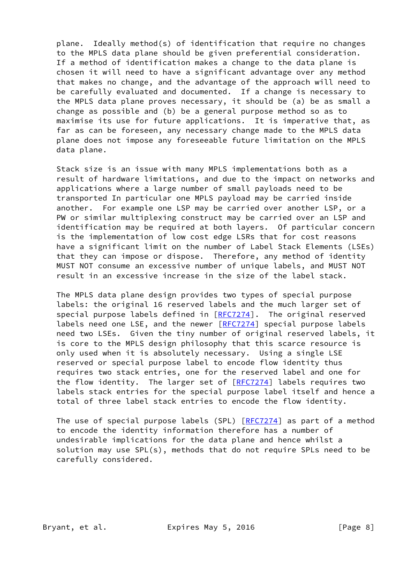plane. Ideally method(s) of identification that require no changes to the MPLS data plane should be given preferential consideration. If a method of identification makes a change to the data plane is chosen it will need to have a significant advantage over any method that makes no change, and the advantage of the approach will need to be carefully evaluated and documented. If a change is necessary to the MPLS data plane proves necessary, it should be (a) be as small a change as possible and (b) be a general purpose method so as to maximise its use for future applications. It is imperative that, as far as can be foreseen, any necessary change made to the MPLS data plane does not impose any foreseeable future limitation on the MPLS data plane.

 Stack size is an issue with many MPLS implementations both as a result of hardware limitations, and due to the impact on networks and applications where a large number of small payloads need to be transported In particular one MPLS payload may be carried inside another. For example one LSP may be carried over another LSP, or a PW or similar multiplexing construct may be carried over an LSP and identification may be required at both layers. Of particular concern is the implementation of low cost edge LSRs that for cost reasons have a significant limit on the number of Label Stack Elements (LSEs) that they can impose or dispose. Therefore, any method of identity MUST NOT consume an excessive number of unique labels, and MUST NOT result in an excessive increase in the size of the label stack.

 The MPLS data plane design provides two types of special purpose labels: the original 16 reserved labels and the much larger set of special purpose labels defined in [[RFC7274](https://datatracker.ietf.org/doc/pdf/rfc7274)]. The original reserved labels need one LSE, and the newer [[RFC7274\]](https://datatracker.ietf.org/doc/pdf/rfc7274) special purpose labels need two LSEs. Given the tiny number of original reserved labels, it is core to the MPLS design philosophy that this scarce resource is only used when it is absolutely necessary. Using a single LSE reserved or special purpose label to encode flow identity thus requires two stack entries, one for the reserved label and one for the flow identity. The larger set of [[RFC7274](https://datatracker.ietf.org/doc/pdf/rfc7274)] labels requires two labels stack entries for the special purpose label itself and hence a total of three label stack entries to encode the flow identity.

The use of special purpose labels (SPL) [\[RFC7274](https://datatracker.ietf.org/doc/pdf/rfc7274)] as part of a method to encode the identity information therefore has a number of undesirable implications for the data plane and hence whilst a solution may use SPL(s), methods that do not require SPLs need to be carefully considered.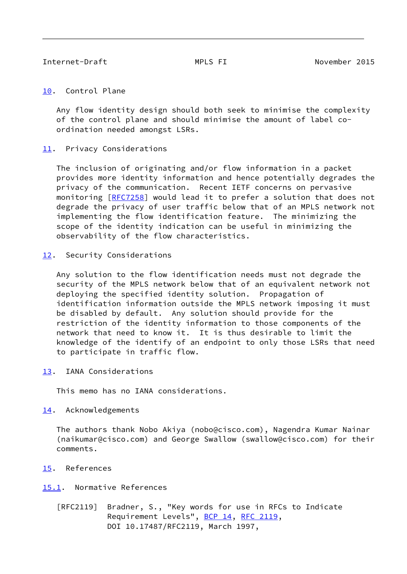## <span id="page-9-1"></span><span id="page-9-0"></span>[10.](#page-9-0) Control Plane

 Any flow identity design should both seek to minimise the complexity of the control plane and should minimise the amount of label co ordination needed amongst LSRs.

# <span id="page-9-2"></span>[11.](#page-9-2) Privacy Considerations

 The inclusion of originating and/or flow information in a packet provides more identity information and hence potentially degrades the privacy of the communication. Recent IETF concerns on pervasive monitoring [[RFC7258\]](https://datatracker.ietf.org/doc/pdf/rfc7258) would lead it to prefer a solution that does not degrade the privacy of user traffic below that of an MPLS network not implementing the flow identification feature. The minimizing the scope of the identity indication can be useful in minimizing the observability of the flow characteristics.

# <span id="page-9-3"></span>[12.](#page-9-3) Security Considerations

 Any solution to the flow identification needs must not degrade the security of the MPLS network below that of an equivalent network not deploying the specified identity solution. Propagation of identification information outside the MPLS network imposing it must be disabled by default. Any solution should provide for the restriction of the identity information to those components of the network that need to know it. It is thus desirable to limit the knowledge of the identify of an endpoint to only those LSRs that need to participate in traffic flow.

<span id="page-9-4"></span>[13.](#page-9-4) IANA Considerations

This memo has no IANA considerations.

# <span id="page-9-5"></span>[14.](#page-9-5) Acknowledgements

 The authors thank Nobo Akiya (nobo@cisco.com), Nagendra Kumar Nainar (naikumar@cisco.com) and George Swallow (swallow@cisco.com) for their comments.

<span id="page-9-6"></span>[15.](#page-9-6) References

<span id="page-9-7"></span>[15.1](#page-9-7). Normative References

 [RFC2119] Bradner, S., "Key words for use in RFCs to Indicate Requirement Levels", [BCP 14](https://datatracker.ietf.org/doc/pdf/bcp14), [RFC 2119](https://datatracker.ietf.org/doc/pdf/rfc2119), DOI 10.17487/RFC2119, March 1997,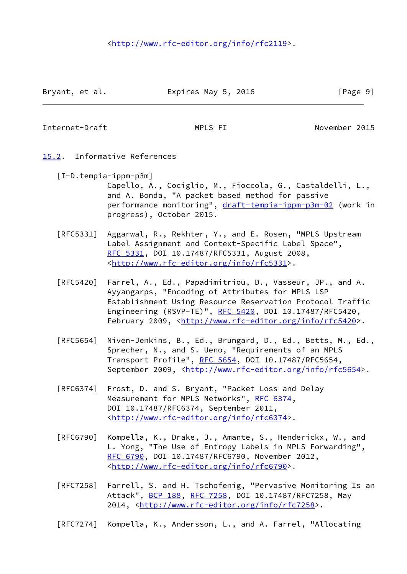Bryant, et al. **Expires May 5, 2016** [Page 9]

<span id="page-10-1"></span>Internet-Draft MPLS FI November 2015

- <span id="page-10-2"></span><span id="page-10-0"></span>[15.2](#page-10-0). Informative References
	- [I-D.tempia-ippm-p3m] Capello, A., Cociglio, M., Fioccola, G., Castaldelli, L., and A. Bonda, "A packet based method for passive performance monitoring", [draft-tempia-ippm-p3m-02](https://datatracker.ietf.org/doc/pdf/draft-tempia-ippm-p3m-02) (work in progress), October 2015.
	- [RFC5331] Aggarwal, R., Rekhter, Y., and E. Rosen, "MPLS Upstream Label Assignment and Context-Specific Label Space", [RFC 5331,](https://datatracker.ietf.org/doc/pdf/rfc5331) DOI 10.17487/RFC5331, August 2008, <<http://www.rfc-editor.org/info/rfc5331>>.
	- [RFC5420] Farrel, A., Ed., Papadimitriou, D., Vasseur, JP., and A. Ayyangarps, "Encoding of Attributes for MPLS LSP Establishment Using Resource Reservation Protocol Traffic Engineering (RSVP-TE)", [RFC 5420,](https://datatracker.ietf.org/doc/pdf/rfc5420) DOI 10.17487/RFC5420, February 2009, <<http://www.rfc-editor.org/info/rfc5420>>.
	- [RFC5654] Niven-Jenkins, B., Ed., Brungard, D., Ed., Betts, M., Ed., Sprecher, N., and S. Ueno, "Requirements of an MPLS Transport Profile", [RFC 5654,](https://datatracker.ietf.org/doc/pdf/rfc5654) DOI 10.17487/RFC5654, September 2009, <<http://www.rfc-editor.org/info/rfc5654>>.
	- [RFC6374] Frost, D. and S. Bryant, "Packet Loss and Delay Measurement for MPLS Networks", [RFC 6374,](https://datatracker.ietf.org/doc/pdf/rfc6374) DOI 10.17487/RFC6374, September 2011, <<http://www.rfc-editor.org/info/rfc6374>>.
	- [RFC6790] Kompella, K., Drake, J., Amante, S., Henderickx, W., and L. Yong, "The Use of Entropy Labels in MPLS Forwarding", [RFC 6790,](https://datatracker.ietf.org/doc/pdf/rfc6790) DOI 10.17487/RFC6790, November 2012, <<http://www.rfc-editor.org/info/rfc6790>>.
	- [RFC7258] Farrell, S. and H. Tschofenig, "Pervasive Monitoring Is an Attack", [BCP 188,](https://datatracker.ietf.org/doc/pdf/bcp188) [RFC 7258](https://datatracker.ietf.org/doc/pdf/rfc7258), DOI 10.17487/RFC7258, May 2014, [<http://www.rfc-editor.org/info/rfc7258](http://www.rfc-editor.org/info/rfc7258)>.
	- [RFC7274] Kompella, K., Andersson, L., and A. Farrel, "Allocating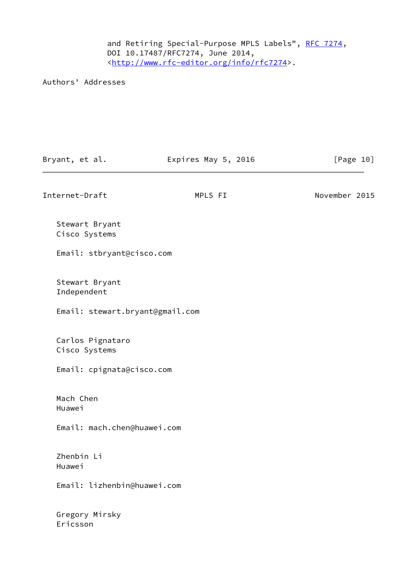and Retiring Special-Purpose MPLS Labels", [RFC 7274](https://datatracker.ietf.org/doc/pdf/rfc7274), DOI 10.17487/RFC7274, June 2014, <<http://www.rfc-editor.org/info/rfc7274>>.

Authors' Addresses

| Bryant, et al.                    | Expires May 5, 2016 | [Page 10]     |
|-----------------------------------|---------------------|---------------|
| Internet-Draft                    | MPLS FI             | November 2015 |
| Stewart Bryant<br>Cisco Systems   |                     |               |
| Email: stbryant@cisco.com         |                     |               |
| Stewart Bryant<br>Independent     |                     |               |
| Email: stewart.bryant@gmail.com   |                     |               |
| Carlos Pignataro<br>Cisco Systems |                     |               |
| Email: cpignata@cisco.com         |                     |               |
| Mach Chen<br>Huawei               |                     |               |
| Email: mach.chen@huawei.com       |                     |               |
| Zhenbin Li<br>Huawei              |                     |               |
| Email: lizhenbin@huawei.com       |                     |               |
| Gregory Mirsky<br>Ericsson        |                     |               |